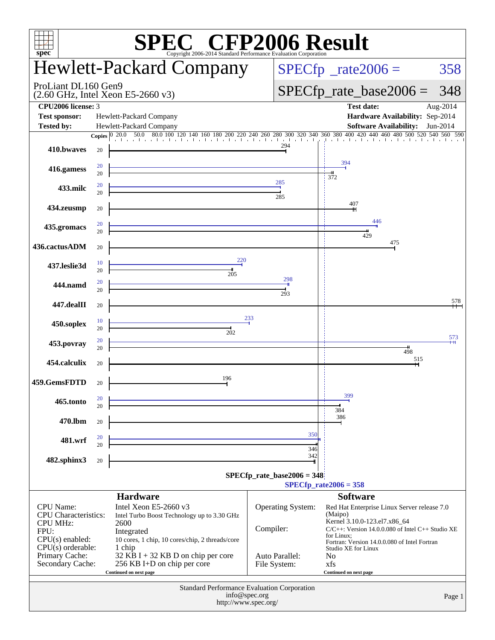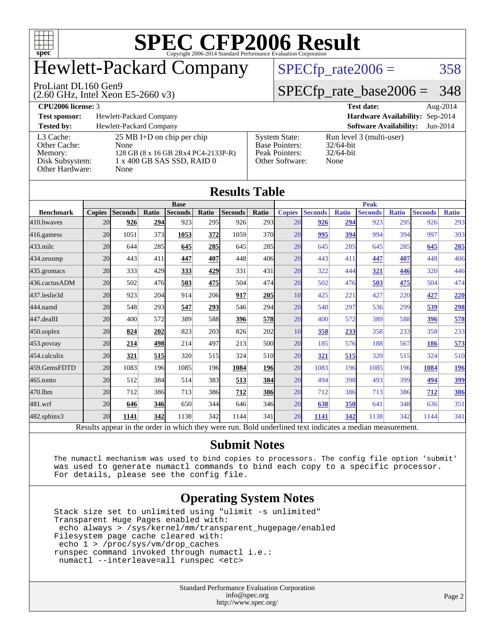

### Hewlett-Packard Company

#### ProLiant DL160 Gen9

(2.60 GHz, Intel Xeon E5-2660 v3)

 $SPECTp_rate2006 = 358$ 

### [SPECfp\\_rate\\_base2006 =](http://www.spec.org/auto/cpu2006/Docs/result-fields.html#SPECfpratebase2006) 348

| CPU <sub>2006</sub> license: 3                                             |                                                                                                                           |                                                                                    | <b>Test date:</b>                                                | Aug-2014 |
|----------------------------------------------------------------------------|---------------------------------------------------------------------------------------------------------------------------|------------------------------------------------------------------------------------|------------------------------------------------------------------|----------|
| <b>Test sponsor:</b>                                                       | Hewlett-Packard Company                                                                                                   |                                                                                    | Hardware Availability: Sep-2014                                  |          |
| <b>Tested by:</b>                                                          | Hewlett-Packard Company                                                                                                   |                                                                                    | <b>Software Availability:</b>                                    | Jun-2014 |
| L3 Cache:<br>Other Cache:<br>Memory:<br>Disk Subsystem:<br>Other Hardware: | $25 \text{ MB I+D}$ on chip per chip<br>None<br>128 GB (8 x 16 GB 2Rx4 PC4-2133P-R)<br>1 x 400 GB SAS SSD, RAID 0<br>None | <b>System State:</b><br><b>Base Pointers:</b><br>Peak Pointers:<br>Other Software: | Run level 3 (multi-user)<br>$32/64$ -bit<br>$32/64$ -bit<br>None |          |

| <b>Results Table</b>                                                                                     |               |                |       |                |            |                |                  |               |                |              |                |              |                |              |
|----------------------------------------------------------------------------------------------------------|---------------|----------------|-------|----------------|------------|----------------|------------------|---------------|----------------|--------------|----------------|--------------|----------------|--------------|
|                                                                                                          | <b>Base</b>   |                |       |                |            | <b>Peak</b>    |                  |               |                |              |                |              |                |              |
| <b>Benchmark</b>                                                                                         | <b>Copies</b> | <b>Seconds</b> | Ratio | <b>Seconds</b> | Ratio      | <b>Seconds</b> | Ratio            | <b>Copies</b> | <b>Seconds</b> | <b>Ratio</b> | <b>Seconds</b> | <b>Ratio</b> | <b>Seconds</b> | <b>Ratio</b> |
| 410.bwaves                                                                                               | 20            | 926            | 294   | 923            | 295        | 926            | 293 <sup>1</sup> | 20            | 926            | 294          | 923            | 295          | 926            | 293          |
| 416.gamess                                                                                               | 20            | 1051           | 373   | 1053           | 372        | 1059           | 370l             | 20            | 995            | 394          | 994            | 394          | 997            | 393          |
| 433.milc                                                                                                 | 20            | 644            | 285   | 645            | <u>285</u> | 645            | 285              | 20            | 645            | 285          | 645            | 285          | 645            | 285          |
| 434.zeusmp                                                                                               | 20            | 443            | 411   | 447            | 407        | 448            | 406              | 20            | 443            | 411          | 447            | 407          | 448            | 406          |
| 435.gromacs                                                                                              | 20            | 333            | 429   | 333            | 429        | 331            | 431              | 20            | 322            | 444          | 321            | 446          | 320            | 446          |
| 436.cactusADM                                                                                            | 20            | 502            | 476   | 503            | 475        | 504            | 474              | 20            | 502            | 476          | 503            | 475          | 504            | 474          |
| 437.leslie3d                                                                                             | 20            | 923            | 204   | 914            | 206        | 917            | 205              | 10            | 425            | 221          | 427            | 220          | 427            | 220          |
| 444.namd                                                                                                 | 20            | 548            | 293   | 547            | 293        | 546            | 294              | 20            | 540            | 297          | 536            | 299          | 539            | <u>298</u>   |
| 447.dealII                                                                                               | 20            | 400            | 572   | 389            | 588        | 396            | <b>578</b>       | 20            | 400            | 572          | 389            | 588          | 396            | 578          |
| 450.soplex                                                                                               | 20            | 824            | 202   | 823            | 203        | 826            | 202              | 10            | 358            | 233          | 358            | 233          | 358            | 233          |
| 453.povray                                                                                               | 20            | 214            | 498   | 214            | 497        | 213            | 500l             | 20            | 185            | 576          | 188            | 567          | 186            | 573          |
| 454.calculix                                                                                             | 20            | 321            | 515   | 320            | 515        | 324            | <b>510</b>       | 20            | 321            | 515          | 320            | 515          | 324            | 510          |
| 459.GemsFDTD                                                                                             | 20            | 1083           | 196   | 1085           | 196        | 1084           | <b>196</b>       | 20            | 1083           | 196          | 1085           | 196          | 1084           | 196          |
| 465.tonto                                                                                                | 20            | 512            | 384   | 514            | 383        | 513            | <b>384</b>       | 20            | 494            | 398          | 493            | 399          | 494            | 399          |
| 470.1bm                                                                                                  | 20            | 712            | 386   | 713            | 386        | 712            | 386              | 20            | 712            | 386          | 713            | 386          | 712            | 386          |
| 481.wrf                                                                                                  | 20            | 646            | 346   | 650            | 344        | 646            | 346              | 20            | 638            | 350          | 641            | 348          | 636            | 351          |
| 482.sphinx3                                                                                              | 20            | 1141           | 342   | 1138           | 342l       | 1144           | 341              | 20            | 1141           | 342          | 1138           | 342          | 1144           | 341          |
| Results appear in the order in which they were run. Bold underlined text indicates a median measurement. |               |                |       |                |            |                |                  |               |                |              |                |              |                |              |

#### **[Submit Notes](http://www.spec.org/auto/cpu2006/Docs/result-fields.html#SubmitNotes)**

 The numactl mechanism was used to bind copies to processors. The config file option 'submit' was used to generate numactl commands to bind each copy to a specific processor. For details, please see the config file.

#### **[Operating System Notes](http://www.spec.org/auto/cpu2006/Docs/result-fields.html#OperatingSystemNotes)**

 Stack size set to unlimited using "ulimit -s unlimited" Transparent Huge Pages enabled with: echo always > /sys/kernel/mm/transparent\_hugepage/enabled Filesystem page cache cleared with: echo 1 > /proc/sys/vm/drop\_caches runspec command invoked through numactl i.e.: numactl --interleave=all runspec <etc>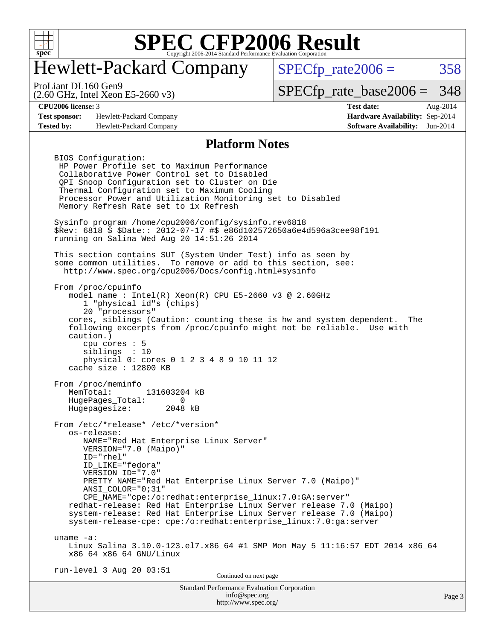

### Hewlett-Packard Company

 $SPECTp_rate2006 = 358$ 

(2.60 GHz, Intel Xeon E5-2660 v3) ProLiant DL160 Gen9

[SPECfp\\_rate\\_base2006 =](http://www.spec.org/auto/cpu2006/Docs/result-fields.html#SPECfpratebase2006) 348

**[Test sponsor:](http://www.spec.org/auto/cpu2006/Docs/result-fields.html#Testsponsor)** Hewlett-Packard Company **[Hardware Availability:](http://www.spec.org/auto/cpu2006/Docs/result-fields.html#HardwareAvailability)** Sep-2014 **[Tested by:](http://www.spec.org/auto/cpu2006/Docs/result-fields.html#Testedby)** Hewlett-Packard Company **[Software Availability:](http://www.spec.org/auto/cpu2006/Docs/result-fields.html#SoftwareAvailability)** Jun-2014

**[CPU2006 license:](http://www.spec.org/auto/cpu2006/Docs/result-fields.html#CPU2006license)** 3 **[Test date:](http://www.spec.org/auto/cpu2006/Docs/result-fields.html#Testdate)** Aug-2014

#### **[Platform Notes](http://www.spec.org/auto/cpu2006/Docs/result-fields.html#PlatformNotes)**

 BIOS Configuration: HP Power Profile set to Maximum Performance Collaborative Power Control set to Disabled QPI Snoop Configuration set to Cluster on Die Thermal Configuration set to Maximum Cooling Processor Power and Utilization Monitoring set to Disabled Memory Refresh Rate set to 1x Refresh Sysinfo program /home/cpu2006/config/sysinfo.rev6818 \$Rev: 6818 \$ \$Date:: 2012-07-17 #\$ e86d102572650a6e4d596a3cee98f191 running on Salina Wed Aug 20 14:51:26 2014 This section contains SUT (System Under Test) info as seen by some common utilities. To remove or add to this section, see: <http://www.spec.org/cpu2006/Docs/config.html#sysinfo> From /proc/cpuinfo model name : Intel(R) Xeon(R) CPU E5-2660 v3 @ 2.60GHz 1 "physical id"s (chips) 20 "processors" cores, siblings (Caution: counting these is hw and system dependent. The following excerpts from /proc/cpuinfo might not be reliable. Use with caution.) cpu cores : 5 siblings : 10 physical 0: cores 0 1 2 3 4 8 9 10 11 12 cache size : 12800 KB From /proc/meminfo MemTotal: 131603204 kB HugePages\_Total: 0<br>Hugepagesize: 2048 kB Hugepagesize: From /etc/\*release\* /etc/\*version\* os-release: NAME="Red Hat Enterprise Linux Server" VERSION="7.0 (Maipo)" ID="rhel" ID\_LIKE="fedora" VERSION\_ID="7.0" PRETTY\_NAME="Red Hat Enterprise Linux Server 7.0 (Maipo)" ANSI\_COLOR="0;31" CPE\_NAME="cpe:/o:redhat:enterprise\_linux:7.0:GA:server" redhat-release: Red Hat Enterprise Linux Server release 7.0 (Maipo) system-release: Red Hat Enterprise Linux Server release 7.0 (Maipo) system-release-cpe: cpe:/o:redhat:enterprise\_linux:7.0:ga:server uname -a: Linux Salina 3.10.0-123.el7.x86\_64 #1 SMP Mon May 5 11:16:57 EDT 2014 x86\_64 x86\_64 x86\_64 GNU/Linux run-level 3 Aug 20 03:51 Continued on next page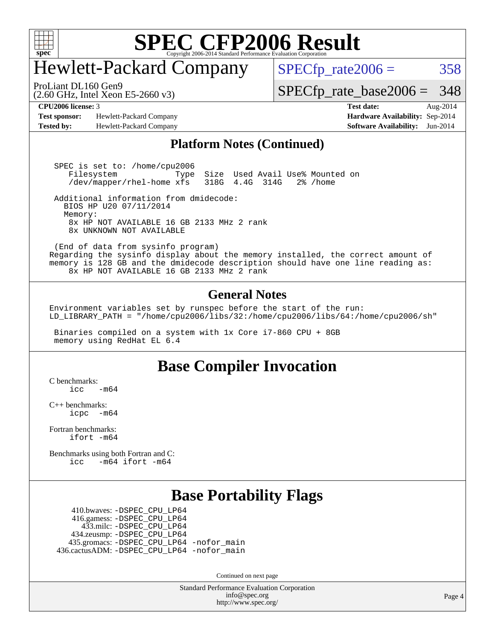

### Hewlett-Packard Company

 $SPECTp_rate2006 = 358$ 

(2.60 GHz, Intel Xeon E5-2660 v3) ProLiant DL160 Gen9

[SPECfp\\_rate\\_base2006 =](http://www.spec.org/auto/cpu2006/Docs/result-fields.html#SPECfpratebase2006) 348

**[Test sponsor:](http://www.spec.org/auto/cpu2006/Docs/result-fields.html#Testsponsor)** Hewlett-Packard Company **[Hardware Availability:](http://www.spec.org/auto/cpu2006/Docs/result-fields.html#HardwareAvailability)** Sep-2014 **[Tested by:](http://www.spec.org/auto/cpu2006/Docs/result-fields.html#Testedby)** Hewlett-Packard Company **[Software Availability:](http://www.spec.org/auto/cpu2006/Docs/result-fields.html#SoftwareAvailability)** Jun-2014

**[CPU2006 license:](http://www.spec.org/auto/cpu2006/Docs/result-fields.html#CPU2006license)** 3 **[Test date:](http://www.spec.org/auto/cpu2006/Docs/result-fields.html#Testdate)** Aug-2014

#### **[Platform Notes \(Continued\)](http://www.spec.org/auto/cpu2006/Docs/result-fields.html#PlatformNotes)**

 SPEC is set to: /home/cpu2006 Filesystem Type Size Used Avail Use% Mounted on<br>/dev/mapper/rhel-home xfs 318G 4.4G 314G 2% /home /dev/mapper/rhel-home xfs

 Additional information from dmidecode: BIOS HP U20 07/11/2014 Memory: 8x HP NOT AVAILABLE 16 GB 2133 MHz 2 rank 8x UNKNOWN NOT AVAILABLE

 (End of data from sysinfo program) Regarding the sysinfo display about the memory installed, the correct amount of memory is 128 GB and the dmidecode description should have one line reading as: 8x HP NOT AVAILABLE 16 GB 2133 MHz 2 rank

#### **[General Notes](http://www.spec.org/auto/cpu2006/Docs/result-fields.html#GeneralNotes)**

Environment variables set by runspec before the start of the run: LD LIBRARY\_PATH = "/home/cpu2006/libs/32:/home/cpu2006/libs/64:/home/cpu2006/sh"

 Binaries compiled on a system with 1x Core i7-860 CPU + 8GB memory using RedHat EL 6.4

### **[Base Compiler Invocation](http://www.spec.org/auto/cpu2006/Docs/result-fields.html#BaseCompilerInvocation)**

[C benchmarks](http://www.spec.org/auto/cpu2006/Docs/result-fields.html#Cbenchmarks):  $\frac{1}{2}$ cc  $-\text{m64}$ 

[C++ benchmarks:](http://www.spec.org/auto/cpu2006/Docs/result-fields.html#CXXbenchmarks) [icpc -m64](http://www.spec.org/cpu2006/results/res2014q3/cpu2006-20140908-31268.flags.html#user_CXXbase_intel_icpc_64bit_bedb90c1146cab66620883ef4f41a67e)

[Fortran benchmarks](http://www.spec.org/auto/cpu2006/Docs/result-fields.html#Fortranbenchmarks): [ifort -m64](http://www.spec.org/cpu2006/results/res2014q3/cpu2006-20140908-31268.flags.html#user_FCbase_intel_ifort_64bit_ee9d0fb25645d0210d97eb0527dcc06e)

[Benchmarks using both Fortran and C](http://www.spec.org/auto/cpu2006/Docs/result-fields.html#BenchmarksusingbothFortranandC): [icc -m64](http://www.spec.org/cpu2006/results/res2014q3/cpu2006-20140908-31268.flags.html#user_CC_FCbase_intel_icc_64bit_0b7121f5ab7cfabee23d88897260401c) [ifort -m64](http://www.spec.org/cpu2006/results/res2014q3/cpu2006-20140908-31268.flags.html#user_CC_FCbase_intel_ifort_64bit_ee9d0fb25645d0210d97eb0527dcc06e)

### **[Base Portability Flags](http://www.spec.org/auto/cpu2006/Docs/result-fields.html#BasePortabilityFlags)**

 410.bwaves: [-DSPEC\\_CPU\\_LP64](http://www.spec.org/cpu2006/results/res2014q3/cpu2006-20140908-31268.flags.html#suite_basePORTABILITY410_bwaves_DSPEC_CPU_LP64) 416.gamess: [-DSPEC\\_CPU\\_LP64](http://www.spec.org/cpu2006/results/res2014q3/cpu2006-20140908-31268.flags.html#suite_basePORTABILITY416_gamess_DSPEC_CPU_LP64) 433.milc: [-DSPEC\\_CPU\\_LP64](http://www.spec.org/cpu2006/results/res2014q3/cpu2006-20140908-31268.flags.html#suite_basePORTABILITY433_milc_DSPEC_CPU_LP64) 434.zeusmp: [-DSPEC\\_CPU\\_LP64](http://www.spec.org/cpu2006/results/res2014q3/cpu2006-20140908-31268.flags.html#suite_basePORTABILITY434_zeusmp_DSPEC_CPU_LP64) 435.gromacs: [-DSPEC\\_CPU\\_LP64](http://www.spec.org/cpu2006/results/res2014q3/cpu2006-20140908-31268.flags.html#suite_basePORTABILITY435_gromacs_DSPEC_CPU_LP64) [-nofor\\_main](http://www.spec.org/cpu2006/results/res2014q3/cpu2006-20140908-31268.flags.html#user_baseLDPORTABILITY435_gromacs_f-nofor_main) 436.cactusADM: [-DSPEC\\_CPU\\_LP64](http://www.spec.org/cpu2006/results/res2014q3/cpu2006-20140908-31268.flags.html#suite_basePORTABILITY436_cactusADM_DSPEC_CPU_LP64) [-nofor\\_main](http://www.spec.org/cpu2006/results/res2014q3/cpu2006-20140908-31268.flags.html#user_baseLDPORTABILITY436_cactusADM_f-nofor_main)

Continued on next page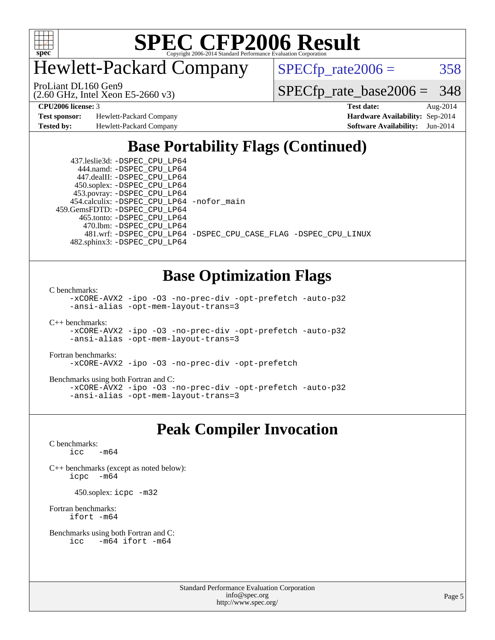

Hewlett-Packard Company

 $SPECTp_rate2006 = 358$ 

(2.60 GHz, Intel Xeon E5-2660 v3) ProLiant DL160 Gen9

[SPECfp\\_rate\\_base2006 =](http://www.spec.org/auto/cpu2006/Docs/result-fields.html#SPECfpratebase2006) 348

**[Test sponsor:](http://www.spec.org/auto/cpu2006/Docs/result-fields.html#Testsponsor)** Hewlett-Packard Company **[Hardware Availability:](http://www.spec.org/auto/cpu2006/Docs/result-fields.html#HardwareAvailability)** Sep-2014 **[Tested by:](http://www.spec.org/auto/cpu2006/Docs/result-fields.html#Testedby)** Hewlett-Packard Company **[Software Availability:](http://www.spec.org/auto/cpu2006/Docs/result-fields.html#SoftwareAvailability)** Jun-2014

**[CPU2006 license:](http://www.spec.org/auto/cpu2006/Docs/result-fields.html#CPU2006license)** 3 **[Test date:](http://www.spec.org/auto/cpu2006/Docs/result-fields.html#Testdate)** Aug-2014

### **[Base Portability Flags \(Continued\)](http://www.spec.org/auto/cpu2006/Docs/result-fields.html#BasePortabilityFlags)**

 437.leslie3d: [-DSPEC\\_CPU\\_LP64](http://www.spec.org/cpu2006/results/res2014q3/cpu2006-20140908-31268.flags.html#suite_basePORTABILITY437_leslie3d_DSPEC_CPU_LP64) 444.namd: [-DSPEC\\_CPU\\_LP64](http://www.spec.org/cpu2006/results/res2014q3/cpu2006-20140908-31268.flags.html#suite_basePORTABILITY444_namd_DSPEC_CPU_LP64) 447.dealII: [-DSPEC\\_CPU\\_LP64](http://www.spec.org/cpu2006/results/res2014q3/cpu2006-20140908-31268.flags.html#suite_basePORTABILITY447_dealII_DSPEC_CPU_LP64) 450.soplex: [-DSPEC\\_CPU\\_LP64](http://www.spec.org/cpu2006/results/res2014q3/cpu2006-20140908-31268.flags.html#suite_basePORTABILITY450_soplex_DSPEC_CPU_LP64) 453.povray: [-DSPEC\\_CPU\\_LP64](http://www.spec.org/cpu2006/results/res2014q3/cpu2006-20140908-31268.flags.html#suite_basePORTABILITY453_povray_DSPEC_CPU_LP64) 454.calculix: [-DSPEC\\_CPU\\_LP64](http://www.spec.org/cpu2006/results/res2014q3/cpu2006-20140908-31268.flags.html#suite_basePORTABILITY454_calculix_DSPEC_CPU_LP64) [-nofor\\_main](http://www.spec.org/cpu2006/results/res2014q3/cpu2006-20140908-31268.flags.html#user_baseLDPORTABILITY454_calculix_f-nofor_main) 459.GemsFDTD: [-DSPEC\\_CPU\\_LP64](http://www.spec.org/cpu2006/results/res2014q3/cpu2006-20140908-31268.flags.html#suite_basePORTABILITY459_GemsFDTD_DSPEC_CPU_LP64) 465.tonto: [-DSPEC\\_CPU\\_LP64](http://www.spec.org/cpu2006/results/res2014q3/cpu2006-20140908-31268.flags.html#suite_basePORTABILITY465_tonto_DSPEC_CPU_LP64) 470.lbm: [-DSPEC\\_CPU\\_LP64](http://www.spec.org/cpu2006/results/res2014q3/cpu2006-20140908-31268.flags.html#suite_basePORTABILITY470_lbm_DSPEC_CPU_LP64) 482.sphinx3: [-DSPEC\\_CPU\\_LP64](http://www.spec.org/cpu2006/results/res2014q3/cpu2006-20140908-31268.flags.html#suite_basePORTABILITY482_sphinx3_DSPEC_CPU_LP64)

481.wrf: [-DSPEC\\_CPU\\_LP64](http://www.spec.org/cpu2006/results/res2014q3/cpu2006-20140908-31268.flags.html#suite_basePORTABILITY481_wrf_DSPEC_CPU_LP64) [-DSPEC\\_CPU\\_CASE\\_FLAG](http://www.spec.org/cpu2006/results/res2014q3/cpu2006-20140908-31268.flags.html#b481.wrf_baseCPORTABILITY_DSPEC_CPU_CASE_FLAG) [-DSPEC\\_CPU\\_LINUX](http://www.spec.org/cpu2006/results/res2014q3/cpu2006-20140908-31268.flags.html#b481.wrf_baseCPORTABILITY_DSPEC_CPU_LINUX)

### **[Base Optimization Flags](http://www.spec.org/auto/cpu2006/Docs/result-fields.html#BaseOptimizationFlags)**

[C benchmarks](http://www.spec.org/auto/cpu2006/Docs/result-fields.html#Cbenchmarks):

[-xCORE-AVX2](http://www.spec.org/cpu2006/results/res2014q3/cpu2006-20140908-31268.flags.html#user_CCbase_f-xAVX2_5f5fc0cbe2c9f62c816d3e45806c70d7) [-ipo](http://www.spec.org/cpu2006/results/res2014q3/cpu2006-20140908-31268.flags.html#user_CCbase_f-ipo) [-O3](http://www.spec.org/cpu2006/results/res2014q3/cpu2006-20140908-31268.flags.html#user_CCbase_f-O3) [-no-prec-div](http://www.spec.org/cpu2006/results/res2014q3/cpu2006-20140908-31268.flags.html#user_CCbase_f-no-prec-div) [-opt-prefetch](http://www.spec.org/cpu2006/results/res2014q3/cpu2006-20140908-31268.flags.html#user_CCbase_f-opt-prefetch) [-auto-p32](http://www.spec.org/cpu2006/results/res2014q3/cpu2006-20140908-31268.flags.html#user_CCbase_f-auto-p32) [-ansi-alias](http://www.spec.org/cpu2006/results/res2014q3/cpu2006-20140908-31268.flags.html#user_CCbase_f-ansi-alias) [-opt-mem-layout-trans=3](http://www.spec.org/cpu2006/results/res2014q3/cpu2006-20140908-31268.flags.html#user_CCbase_f-opt-mem-layout-trans_a7b82ad4bd7abf52556d4961a2ae94d5)

[C++ benchmarks:](http://www.spec.org/auto/cpu2006/Docs/result-fields.html#CXXbenchmarks) [-xCORE-AVX2](http://www.spec.org/cpu2006/results/res2014q3/cpu2006-20140908-31268.flags.html#user_CXXbase_f-xAVX2_5f5fc0cbe2c9f62c816d3e45806c70d7) [-ipo](http://www.spec.org/cpu2006/results/res2014q3/cpu2006-20140908-31268.flags.html#user_CXXbase_f-ipo) [-O3](http://www.spec.org/cpu2006/results/res2014q3/cpu2006-20140908-31268.flags.html#user_CXXbase_f-O3) [-no-prec-div](http://www.spec.org/cpu2006/results/res2014q3/cpu2006-20140908-31268.flags.html#user_CXXbase_f-no-prec-div) [-opt-prefetch](http://www.spec.org/cpu2006/results/res2014q3/cpu2006-20140908-31268.flags.html#user_CXXbase_f-opt-prefetch) [-auto-p32](http://www.spec.org/cpu2006/results/res2014q3/cpu2006-20140908-31268.flags.html#user_CXXbase_f-auto-p32) [-ansi-alias](http://www.spec.org/cpu2006/results/res2014q3/cpu2006-20140908-31268.flags.html#user_CXXbase_f-ansi-alias) [-opt-mem-layout-trans=3](http://www.spec.org/cpu2006/results/res2014q3/cpu2006-20140908-31268.flags.html#user_CXXbase_f-opt-mem-layout-trans_a7b82ad4bd7abf52556d4961a2ae94d5)

[Fortran benchmarks](http://www.spec.org/auto/cpu2006/Docs/result-fields.html#Fortranbenchmarks):

[-xCORE-AVX2](http://www.spec.org/cpu2006/results/res2014q3/cpu2006-20140908-31268.flags.html#user_FCbase_f-xAVX2_5f5fc0cbe2c9f62c816d3e45806c70d7) [-ipo](http://www.spec.org/cpu2006/results/res2014q3/cpu2006-20140908-31268.flags.html#user_FCbase_f-ipo) [-O3](http://www.spec.org/cpu2006/results/res2014q3/cpu2006-20140908-31268.flags.html#user_FCbase_f-O3) [-no-prec-div](http://www.spec.org/cpu2006/results/res2014q3/cpu2006-20140908-31268.flags.html#user_FCbase_f-no-prec-div) [-opt-prefetch](http://www.spec.org/cpu2006/results/res2014q3/cpu2006-20140908-31268.flags.html#user_FCbase_f-opt-prefetch)

[Benchmarks using both Fortran and C](http://www.spec.org/auto/cpu2006/Docs/result-fields.html#BenchmarksusingbothFortranandC):

[-xCORE-AVX2](http://www.spec.org/cpu2006/results/res2014q3/cpu2006-20140908-31268.flags.html#user_CC_FCbase_f-xAVX2_5f5fc0cbe2c9f62c816d3e45806c70d7) [-ipo](http://www.spec.org/cpu2006/results/res2014q3/cpu2006-20140908-31268.flags.html#user_CC_FCbase_f-ipo) [-O3](http://www.spec.org/cpu2006/results/res2014q3/cpu2006-20140908-31268.flags.html#user_CC_FCbase_f-O3) [-no-prec-div](http://www.spec.org/cpu2006/results/res2014q3/cpu2006-20140908-31268.flags.html#user_CC_FCbase_f-no-prec-div) [-opt-prefetch](http://www.spec.org/cpu2006/results/res2014q3/cpu2006-20140908-31268.flags.html#user_CC_FCbase_f-opt-prefetch) [-auto-p32](http://www.spec.org/cpu2006/results/res2014q3/cpu2006-20140908-31268.flags.html#user_CC_FCbase_f-auto-p32) [-ansi-alias](http://www.spec.org/cpu2006/results/res2014q3/cpu2006-20140908-31268.flags.html#user_CC_FCbase_f-ansi-alias) [-opt-mem-layout-trans=3](http://www.spec.org/cpu2006/results/res2014q3/cpu2006-20140908-31268.flags.html#user_CC_FCbase_f-opt-mem-layout-trans_a7b82ad4bd7abf52556d4961a2ae94d5)

### **[Peak Compiler Invocation](http://www.spec.org/auto/cpu2006/Docs/result-fields.html#PeakCompilerInvocation)**

[C benchmarks](http://www.spec.org/auto/cpu2006/Docs/result-fields.html#Cbenchmarks):  $\text{icc}$  -m64

[C++ benchmarks \(except as noted below\):](http://www.spec.org/auto/cpu2006/Docs/result-fields.html#CXXbenchmarksexceptasnotedbelow) [icpc -m64](http://www.spec.org/cpu2006/results/res2014q3/cpu2006-20140908-31268.flags.html#user_CXXpeak_intel_icpc_64bit_bedb90c1146cab66620883ef4f41a67e)

450.soplex: [icpc -m32](http://www.spec.org/cpu2006/results/res2014q3/cpu2006-20140908-31268.flags.html#user_peakCXXLD450_soplex_intel_icpc_4e5a5ef1a53fd332b3c49e69c3330699)

[Fortran benchmarks](http://www.spec.org/auto/cpu2006/Docs/result-fields.html#Fortranbenchmarks): [ifort -m64](http://www.spec.org/cpu2006/results/res2014q3/cpu2006-20140908-31268.flags.html#user_FCpeak_intel_ifort_64bit_ee9d0fb25645d0210d97eb0527dcc06e)

[Benchmarks using both Fortran and C](http://www.spec.org/auto/cpu2006/Docs/result-fields.html#BenchmarksusingbothFortranandC): [icc -m64](http://www.spec.org/cpu2006/results/res2014q3/cpu2006-20140908-31268.flags.html#user_CC_FCpeak_intel_icc_64bit_0b7121f5ab7cfabee23d88897260401c) [ifort -m64](http://www.spec.org/cpu2006/results/res2014q3/cpu2006-20140908-31268.flags.html#user_CC_FCpeak_intel_ifort_64bit_ee9d0fb25645d0210d97eb0527dcc06e)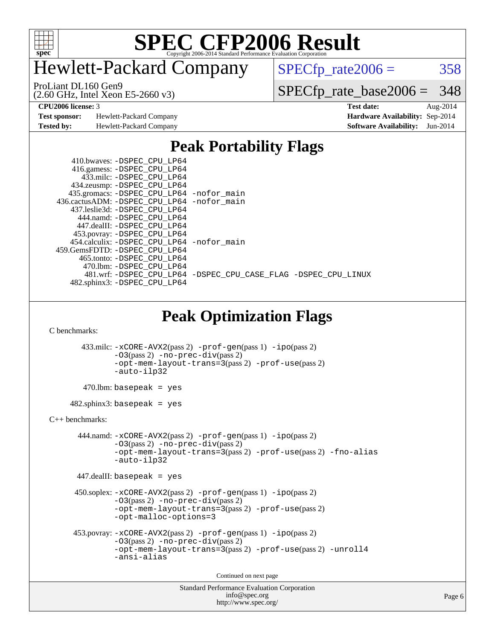

### Hewlett-Packard Company

(2.60 GHz, Intel Xeon E5-2660 v3) ProLiant DL160 Gen9

 $SPECTp_rate2006 = 358$ 

[-DSPEC\\_CPU\\_LINUX](http://www.spec.org/cpu2006/results/res2014q3/cpu2006-20140908-31268.flags.html#b481.wrf_peakCPORTABILITY_DSPEC_CPU_LINUX)

[SPECfp\\_rate\\_base2006 =](http://www.spec.org/auto/cpu2006/Docs/result-fields.html#SPECfpratebase2006) 348

**[Test sponsor:](http://www.spec.org/auto/cpu2006/Docs/result-fields.html#Testsponsor)** Hewlett-Packard Company **[Hardware Availability:](http://www.spec.org/auto/cpu2006/Docs/result-fields.html#HardwareAvailability)** Sep-2014

**[CPU2006 license:](http://www.spec.org/auto/cpu2006/Docs/result-fields.html#CPU2006license)** 3 **[Test date:](http://www.spec.org/auto/cpu2006/Docs/result-fields.html#Testdate)** Aug-2014 **[Tested by:](http://www.spec.org/auto/cpu2006/Docs/result-fields.html#Testedby)** Hewlett-Packard Company **[Software Availability:](http://www.spec.org/auto/cpu2006/Docs/result-fields.html#SoftwareAvailability)** Jun-2014

### **[Peak Portability Flags](http://www.spec.org/auto/cpu2006/Docs/result-fields.html#PeakPortabilityFlags)**

| 435.gromacs: -DSPEC_CPU_LP64 -nofor_main      |
|-----------------------------------------------|
| 436.cactusADM: -DSPEC CPU LP64 -nofor main    |
|                                               |
|                                               |
|                                               |
|                                               |
| 454.calculix: -DSPEC CPU LP64 -nofor main     |
|                                               |
|                                               |
|                                               |
| 481.wrf: -DSPEC_CPU_LP64 -DSPEC_CPU_CASE_FLAG |
|                                               |
|                                               |

### **[Peak Optimization Flags](http://www.spec.org/auto/cpu2006/Docs/result-fields.html#PeakOptimizationFlags)**

[C benchmarks](http://www.spec.org/auto/cpu2006/Docs/result-fields.html#Cbenchmarks):

```
 433.milc: -xCORE-AVX2(pass 2) -prof-gen(pass 1) -ipo(pass 2)
                -O3(pass 2) -no-prec-div(pass 2)
                -opt-mem-layout-trans=3(pass 2) -prof-use(pass 2)
                -auto-ilp32
        470.lbm: basepeak = yes
     482.sphinx3: basepeak = yes
C++ benchmarks: 
        444.namd: -xCORE-AVX2(pass 2) -prof-gen(pass 1) -ipo(pass 2)
                -O3(pass 2) -no-prec-div(pass 2)
               -opt-mem-layout-trans=3(pass 2) -prof-use(pass 2) -fno-alias
               -auto-ilp32
       447.dealII: basepeak = yes
       450.soplex: -xCORE-AVX2(pass 2) -prof-gen(pass 1) -ipo(pass 2)
                -O3(pass 2) -no-prec-div(pass 2)
                -opt-mem-layout-trans=3(pass 2) -prof-use(pass 2)
                -opt-malloc-options=3
      453.povray: -xCORE-AVX2(pass 2) -prof-gen(pass 1) -ipo(pass 2)
                -O3(pass 2) -no-prec-div(pass 2)
                -opt-mem-layout-trans=3(pass 2) -prof-use(pass 2) -unroll4
               -ansi-alias
                                         Continued on next page
```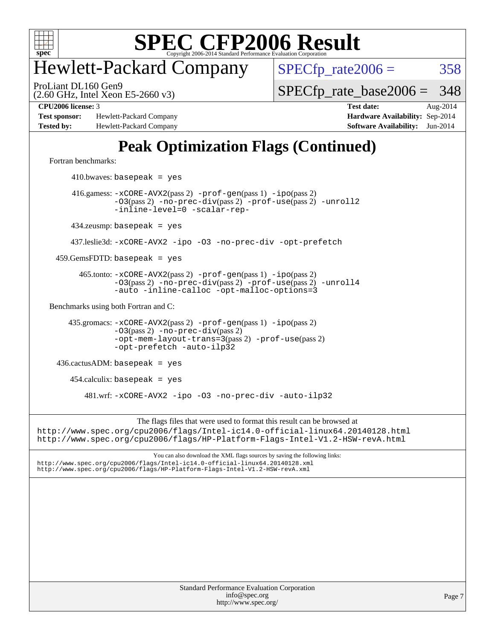

### Hewlett-Packard Company

 $SPECTp_rate2006 = 358$ 

(2.60 GHz, Intel Xeon E5-2660 v3) ProLiant DL160 Gen9

[SPECfp\\_rate\\_base2006 =](http://www.spec.org/auto/cpu2006/Docs/result-fields.html#SPECfpratebase2006) 348

**[Test sponsor:](http://www.spec.org/auto/cpu2006/Docs/result-fields.html#Testsponsor)** Hewlett-Packard Company **[Hardware Availability:](http://www.spec.org/auto/cpu2006/Docs/result-fields.html#HardwareAvailability)** Sep-2014 **[Tested by:](http://www.spec.org/auto/cpu2006/Docs/result-fields.html#Testedby)** Hewlett-Packard Company **[Software Availability:](http://www.spec.org/auto/cpu2006/Docs/result-fields.html#SoftwareAvailability)** Jun-2014

**[CPU2006 license:](http://www.spec.org/auto/cpu2006/Docs/result-fields.html#CPU2006license)** 3 **[Test date:](http://www.spec.org/auto/cpu2006/Docs/result-fields.html#Testdate)** Aug-2014

### **[Peak Optimization Flags \(Continued\)](http://www.spec.org/auto/cpu2006/Docs/result-fields.html#PeakOptimizationFlags)**

[Fortran benchmarks](http://www.spec.org/auto/cpu2006/Docs/result-fields.html#Fortranbenchmarks):

 $410.bwaves: basepeak = yes$  416.gamess: [-xCORE-AVX2](http://www.spec.org/cpu2006/results/res2014q3/cpu2006-20140908-31268.flags.html#user_peakPASS2_FFLAGSPASS2_LDFLAGS416_gamess_f-xAVX2_5f5fc0cbe2c9f62c816d3e45806c70d7)(pass 2) [-prof-gen](http://www.spec.org/cpu2006/results/res2014q3/cpu2006-20140908-31268.flags.html#user_peakPASS1_FFLAGSPASS1_LDFLAGS416_gamess_prof_gen_e43856698f6ca7b7e442dfd80e94a8fc)(pass 1) [-ipo](http://www.spec.org/cpu2006/results/res2014q3/cpu2006-20140908-31268.flags.html#user_peakPASS2_FFLAGSPASS2_LDFLAGS416_gamess_f-ipo)(pass 2) [-O3](http://www.spec.org/cpu2006/results/res2014q3/cpu2006-20140908-31268.flags.html#user_peakPASS2_FFLAGSPASS2_LDFLAGS416_gamess_f-O3)(pass 2) [-no-prec-div](http://www.spec.org/cpu2006/results/res2014q3/cpu2006-20140908-31268.flags.html#user_peakPASS2_FFLAGSPASS2_LDFLAGS416_gamess_f-no-prec-div)(pass 2) [-prof-use](http://www.spec.org/cpu2006/results/res2014q3/cpu2006-20140908-31268.flags.html#user_peakPASS2_FFLAGSPASS2_LDFLAGS416_gamess_prof_use_bccf7792157ff70d64e32fe3e1250b55)(pass 2) [-unroll2](http://www.spec.org/cpu2006/results/res2014q3/cpu2006-20140908-31268.flags.html#user_peakOPTIMIZE416_gamess_f-unroll_784dae83bebfb236979b41d2422d7ec2) [-inline-level=0](http://www.spec.org/cpu2006/results/res2014q3/cpu2006-20140908-31268.flags.html#user_peakOPTIMIZE416_gamess_f-inline-level_318d07a09274ad25e8d15dbfaa68ba50) [-scalar-rep-](http://www.spec.org/cpu2006/results/res2014q3/cpu2006-20140908-31268.flags.html#user_peakOPTIMIZE416_gamess_f-disablescalarrep_abbcad04450fb118e4809c81d83c8a1d) 434.zeusmp: basepeak = yes 437.leslie3d: [-xCORE-AVX2](http://www.spec.org/cpu2006/results/res2014q3/cpu2006-20140908-31268.flags.html#user_peakOPTIMIZE437_leslie3d_f-xAVX2_5f5fc0cbe2c9f62c816d3e45806c70d7) [-ipo](http://www.spec.org/cpu2006/results/res2014q3/cpu2006-20140908-31268.flags.html#user_peakOPTIMIZE437_leslie3d_f-ipo) [-O3](http://www.spec.org/cpu2006/results/res2014q3/cpu2006-20140908-31268.flags.html#user_peakOPTIMIZE437_leslie3d_f-O3) [-no-prec-div](http://www.spec.org/cpu2006/results/res2014q3/cpu2006-20140908-31268.flags.html#user_peakOPTIMIZE437_leslie3d_f-no-prec-div) [-opt-prefetch](http://www.spec.org/cpu2006/results/res2014q3/cpu2006-20140908-31268.flags.html#user_peakOPTIMIZE437_leslie3d_f-opt-prefetch)  $459.GemsFDTD: basepeak = yes$  465.tonto: [-xCORE-AVX2](http://www.spec.org/cpu2006/results/res2014q3/cpu2006-20140908-31268.flags.html#user_peakPASS2_FFLAGSPASS2_LDFLAGS465_tonto_f-xAVX2_5f5fc0cbe2c9f62c816d3e45806c70d7)(pass 2) [-prof-gen](http://www.spec.org/cpu2006/results/res2014q3/cpu2006-20140908-31268.flags.html#user_peakPASS1_FFLAGSPASS1_LDFLAGS465_tonto_prof_gen_e43856698f6ca7b7e442dfd80e94a8fc)(pass 1) [-ipo](http://www.spec.org/cpu2006/results/res2014q3/cpu2006-20140908-31268.flags.html#user_peakPASS2_FFLAGSPASS2_LDFLAGS465_tonto_f-ipo)(pass 2) [-O3](http://www.spec.org/cpu2006/results/res2014q3/cpu2006-20140908-31268.flags.html#user_peakPASS2_FFLAGSPASS2_LDFLAGS465_tonto_f-O3)(pass 2) [-no-prec-div](http://www.spec.org/cpu2006/results/res2014q3/cpu2006-20140908-31268.flags.html#user_peakPASS2_FFLAGSPASS2_LDFLAGS465_tonto_f-no-prec-div)(pass 2) [-prof-use](http://www.spec.org/cpu2006/results/res2014q3/cpu2006-20140908-31268.flags.html#user_peakPASS2_FFLAGSPASS2_LDFLAGS465_tonto_prof_use_bccf7792157ff70d64e32fe3e1250b55)(pass 2) [-unroll4](http://www.spec.org/cpu2006/results/res2014q3/cpu2006-20140908-31268.flags.html#user_peakOPTIMIZE465_tonto_f-unroll_4e5e4ed65b7fd20bdcd365bec371b81f) [-auto](http://www.spec.org/cpu2006/results/res2014q3/cpu2006-20140908-31268.flags.html#user_peakOPTIMIZE465_tonto_f-auto) [-inline-calloc](http://www.spec.org/cpu2006/results/res2014q3/cpu2006-20140908-31268.flags.html#user_peakOPTIMIZE465_tonto_f-inline-calloc) [-opt-malloc-options=3](http://www.spec.org/cpu2006/results/res2014q3/cpu2006-20140908-31268.flags.html#user_peakOPTIMIZE465_tonto_f-opt-malloc-options_13ab9b803cf986b4ee62f0a5998c2238) [Benchmarks using both Fortran and C](http://www.spec.org/auto/cpu2006/Docs/result-fields.html#BenchmarksusingbothFortranandC): 435.gromacs: [-xCORE-AVX2](http://www.spec.org/cpu2006/results/res2014q3/cpu2006-20140908-31268.flags.html#user_peakPASS2_CFLAGSPASS2_FFLAGSPASS2_LDFLAGS435_gromacs_f-xAVX2_5f5fc0cbe2c9f62c816d3e45806c70d7)(pass 2) [-prof-gen](http://www.spec.org/cpu2006/results/res2014q3/cpu2006-20140908-31268.flags.html#user_peakPASS1_CFLAGSPASS1_FFLAGSPASS1_LDFLAGS435_gromacs_prof_gen_e43856698f6ca7b7e442dfd80e94a8fc)(pass 1) [-ipo](http://www.spec.org/cpu2006/results/res2014q3/cpu2006-20140908-31268.flags.html#user_peakPASS2_CFLAGSPASS2_FFLAGSPASS2_LDFLAGS435_gromacs_f-ipo)(pass 2) [-O3](http://www.spec.org/cpu2006/results/res2014q3/cpu2006-20140908-31268.flags.html#user_peakPASS2_CFLAGSPASS2_FFLAGSPASS2_LDFLAGS435_gromacs_f-O3)(pass 2) [-no-prec-div](http://www.spec.org/cpu2006/results/res2014q3/cpu2006-20140908-31268.flags.html#user_peakPASS2_CFLAGSPASS2_FFLAGSPASS2_LDFLAGS435_gromacs_f-no-prec-div)(pass 2) [-opt-mem-layout-trans=3](http://www.spec.org/cpu2006/results/res2014q3/cpu2006-20140908-31268.flags.html#user_peakPASS2_CFLAGS435_gromacs_f-opt-mem-layout-trans_a7b82ad4bd7abf52556d4961a2ae94d5)(pass 2) [-prof-use](http://www.spec.org/cpu2006/results/res2014q3/cpu2006-20140908-31268.flags.html#user_peakPASS2_CFLAGSPASS2_FFLAGSPASS2_LDFLAGS435_gromacs_prof_use_bccf7792157ff70d64e32fe3e1250b55)(pass 2) [-opt-prefetch](http://www.spec.org/cpu2006/results/res2014q3/cpu2006-20140908-31268.flags.html#user_peakOPTIMIZE435_gromacs_f-opt-prefetch) [-auto-ilp32](http://www.spec.org/cpu2006/results/res2014q3/cpu2006-20140908-31268.flags.html#user_peakCOPTIMIZE435_gromacs_f-auto-ilp32) 436.cactusADM: basepeak = yes  $454$ .calculix: basepeak = yes 481.wrf: [-xCORE-AVX2](http://www.spec.org/cpu2006/results/res2014q3/cpu2006-20140908-31268.flags.html#user_peakOPTIMIZE481_wrf_f-xAVX2_5f5fc0cbe2c9f62c816d3e45806c70d7) [-ipo](http://www.spec.org/cpu2006/results/res2014q3/cpu2006-20140908-31268.flags.html#user_peakOPTIMIZE481_wrf_f-ipo) [-O3](http://www.spec.org/cpu2006/results/res2014q3/cpu2006-20140908-31268.flags.html#user_peakOPTIMIZE481_wrf_f-O3) [-no-prec-div](http://www.spec.org/cpu2006/results/res2014q3/cpu2006-20140908-31268.flags.html#user_peakOPTIMIZE481_wrf_f-no-prec-div) [-auto-ilp32](http://www.spec.org/cpu2006/results/res2014q3/cpu2006-20140908-31268.flags.html#user_peakCOPTIMIZE481_wrf_f-auto-ilp32) The flags files that were used to format this result can be browsed at <http://www.spec.org/cpu2006/flags/Intel-ic14.0-official-linux64.20140128.html> <http://www.spec.org/cpu2006/flags/HP-Platform-Flags-Intel-V1.2-HSW-revA.html> You can also download the XML flags sources by saving the following links: <http://www.spec.org/cpu2006/flags/Intel-ic14.0-official-linux64.20140128.xml> <http://www.spec.org/cpu2006/flags/HP-Platform-Flags-Intel-V1.2-HSW-revA.xml>